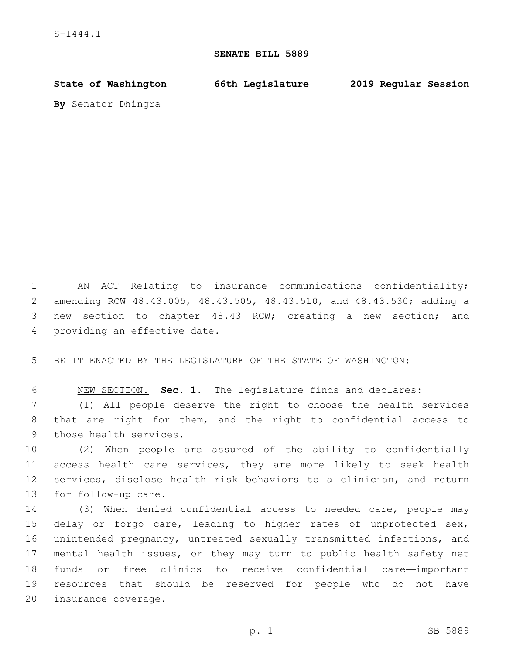## **SENATE BILL 5889**

**State of Washington 66th Legislature 2019 Regular Session**

**By** Senator Dhingra

 AN ACT Relating to insurance communications confidentiality; amending RCW 48.43.005, 48.43.505, 48.43.510, and 48.43.530; adding a new section to chapter 48.43 RCW; creating a new section; and 4 providing an effective date.

BE IT ENACTED BY THE LEGISLATURE OF THE STATE OF WASHINGTON:

NEW SECTION. **Sec. 1.** The legislature finds and declares:

 (1) All people deserve the right to choose the health services that are right for them, and the right to confidential access to 9 those health services.

 (2) When people are assured of the ability to confidentially access health care services, they are more likely to seek health services, disclose health risk behaviors to a clinician, and return 13 for follow-up care.

 (3) When denied confidential access to needed care, people may delay or forgo care, leading to higher rates of unprotected sex, unintended pregnancy, untreated sexually transmitted infections, and mental health issues, or they may turn to public health safety net funds or free clinics to receive confidential care—important resources that should be reserved for people who do not have 20 insurance coverage.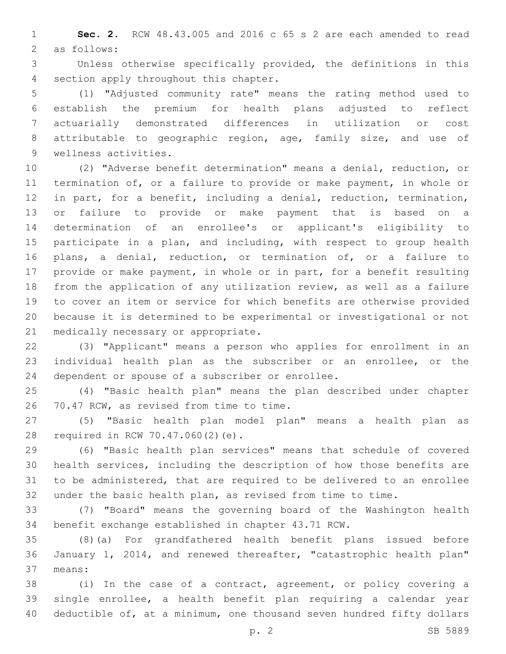**Sec. 2.** RCW 48.43.005 and 2016 c 65 s 2 are each amended to read 2 as follows:

 Unless otherwise specifically provided, the definitions in this 4 section apply throughout this chapter.

 (1) "Adjusted community rate" means the rating method used to establish the premium for health plans adjusted to reflect actuarially demonstrated differences in utilization or cost attributable to geographic region, age, family size, and use of 9 wellness activities.

 (2) "Adverse benefit determination" means a denial, reduction, or termination of, or a failure to provide or make payment, in whole or in part, for a benefit, including a denial, reduction, termination, or failure to provide or make payment that is based on a determination of an enrollee's or applicant's eligibility to 15 participate in a plan, and including, with respect to group health plans, a denial, reduction, or termination of, or a failure to provide or make payment, in whole or in part, for a benefit resulting from the application of any utilization review, as well as a failure to cover an item or service for which benefits are otherwise provided because it is determined to be experimental or investigational or not 21 medically necessary or appropriate.

 (3) "Applicant" means a person who applies for enrollment in an individual health plan as the subscriber or an enrollee, or the 24 dependent or spouse of a subscriber or enrollee.

 (4) "Basic health plan" means the plan described under chapter 26 70.47 RCW, as revised from time to time.

 (5) "Basic health plan model plan" means a health plan as 28 required in RCW 70.47.060(2)(e).

 (6) "Basic health plan services" means that schedule of covered health services, including the description of how those benefits are to be administered, that are required to be delivered to an enrollee under the basic health plan, as revised from time to time.

 (7) "Board" means the governing board of the Washington health benefit exchange established in chapter 43.71 RCW.

 (8)(a) For grandfathered health benefit plans issued before January 1, 2014, and renewed thereafter, "catastrophic health plan" means:37

 (i) In the case of a contract, agreement, or policy covering a single enrollee, a health benefit plan requiring a calendar year deductible of, at a minimum, one thousand seven hundred fifty dollars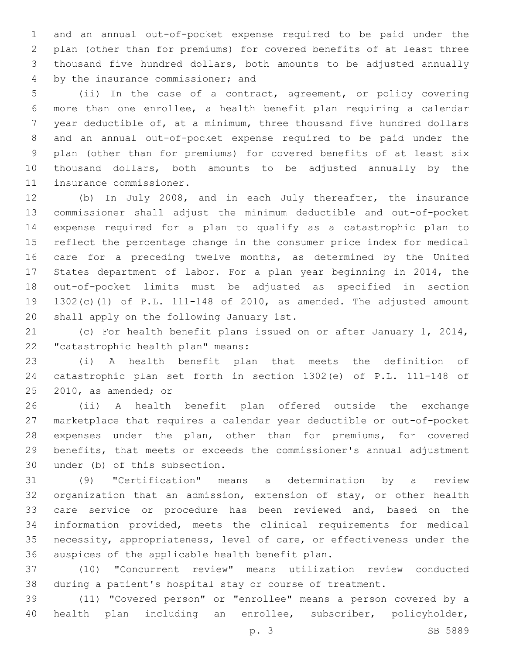and an annual out-of-pocket expense required to be paid under the plan (other than for premiums) for covered benefits of at least three thousand five hundred dollars, both amounts to be adjusted annually 4 by the insurance commissioner; and

 (ii) In the case of a contract, agreement, or policy covering more than one enrollee, a health benefit plan requiring a calendar year deductible of, at a minimum, three thousand five hundred dollars and an annual out-of-pocket expense required to be paid under the plan (other than for premiums) for covered benefits of at least six thousand dollars, both amounts to be adjusted annually by the 11 insurance commissioner.

 (b) In July 2008, and in each July thereafter, the insurance commissioner shall adjust the minimum deductible and out-of-pocket expense required for a plan to qualify as a catastrophic plan to reflect the percentage change in the consumer price index for medical care for a preceding twelve months, as determined by the United States department of labor. For a plan year beginning in 2014, the out-of-pocket limits must be adjusted as specified in section 1302(c)(1) of P.L. 111-148 of 2010, as amended. The adjusted amount 20 shall apply on the following January 1st.

 (c) For health benefit plans issued on or after January 1, 2014, 22 "catastrophic health plan" means:

 (i) A health benefit plan that meets the definition of catastrophic plan set forth in section 1302(e) of P.L. 111-148 of  $2010$ , as amended; or

 (ii) A health benefit plan offered outside the exchange marketplace that requires a calendar year deductible or out-of-pocket expenses under the plan, other than for premiums, for covered benefits, that meets or exceeds the commissioner's annual adjustment 30 under (b) of this subsection.

 (9) "Certification" means a determination by a review organization that an admission, extension of stay, or other health care service or procedure has been reviewed and, based on the information provided, meets the clinical requirements for medical necessity, appropriateness, level of care, or effectiveness under the 36 auspices of the applicable health benefit plan.

 (10) "Concurrent review" means utilization review conducted during a patient's hospital stay or course of treatment.

 (11) "Covered person" or "enrollee" means a person covered by a health plan including an enrollee, subscriber, policyholder,

p. 3 SB 5889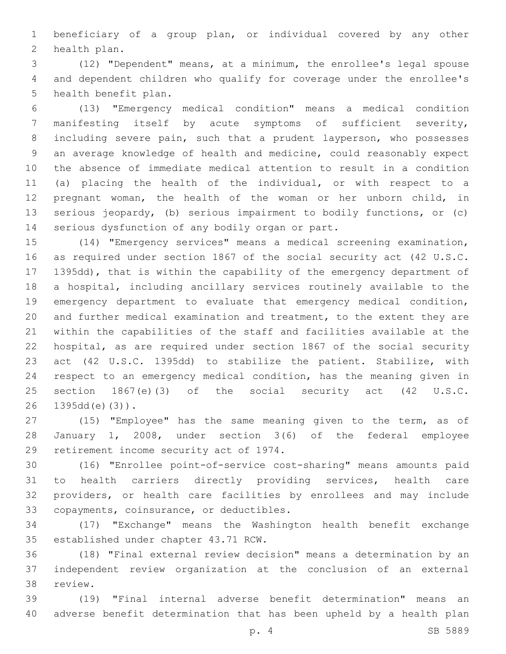beneficiary of a group plan, or individual covered by any other 2 health plan.

 (12) "Dependent" means, at a minimum, the enrollee's legal spouse and dependent children who qualify for coverage under the enrollee's 5 health benefit plan.

 (13) "Emergency medical condition" means a medical condition manifesting itself by acute symptoms of sufficient severity, including severe pain, such that a prudent layperson, who possesses an average knowledge of health and medicine, could reasonably expect the absence of immediate medical attention to result in a condition (a) placing the health of the individual, or with respect to a pregnant woman, the health of the woman or her unborn child, in serious jeopardy, (b) serious impairment to bodily functions, or (c) 14 serious dysfunction of any bodily organ or part.

 (14) "Emergency services" means a medical screening examination, as required under section 1867 of the social security act (42 U.S.C. 1395dd), that is within the capability of the emergency department of a hospital, including ancillary services routinely available to the emergency department to evaluate that emergency medical condition, and further medical examination and treatment, to the extent they are within the capabilities of the staff and facilities available at the hospital, as are required under section 1867 of the social security act (42 U.S.C. 1395dd) to stabilize the patient. Stabilize, with respect to an emergency medical condition, has the meaning given in section 1867(e)(3) of the social security act (42 U.S.C. 1395dd(e)(3)).

 (15) "Employee" has the same meaning given to the term, as of January 1, 2008, under section 3(6) of the federal employee 29 retirement income security act of 1974.

 (16) "Enrollee point-of-service cost-sharing" means amounts paid to health carriers directly providing services, health care providers, or health care facilities by enrollees and may include 33 copayments, coinsurance, or deductibles.

 (17) "Exchange" means the Washington health benefit exchange 35 established under chapter 43.71 RCW.

 (18) "Final external review decision" means a determination by an independent review organization at the conclusion of an external 38 review.

 (19) "Final internal adverse benefit determination" means an adverse benefit determination that has been upheld by a health plan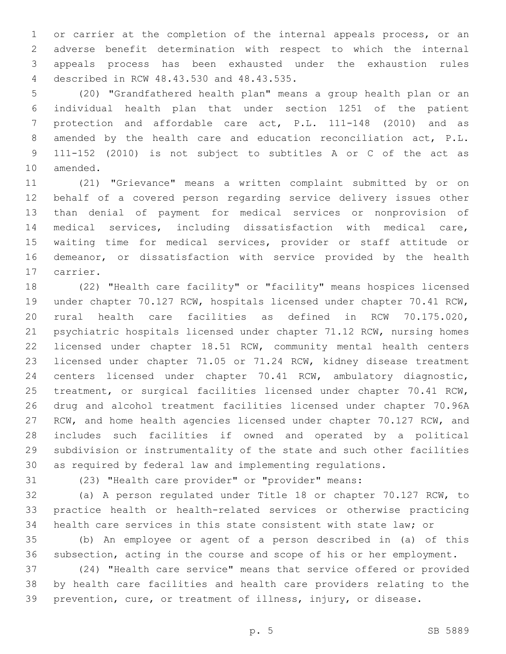or carrier at the completion of the internal appeals process, or an adverse benefit determination with respect to which the internal appeals process has been exhausted under the exhaustion rules described in RCW 48.43.530 and 48.43.535.4

 (20) "Grandfathered health plan" means a group health plan or an individual health plan that under section 1251 of the patient protection and affordable care act, P.L. 111-148 (2010) and as amended by the health care and education reconciliation act, P.L. 111-152 (2010) is not subject to subtitles A or C of the act as 10 amended.

 (21) "Grievance" means a written complaint submitted by or on behalf of a covered person regarding service delivery issues other than denial of payment for medical services or nonprovision of medical services, including dissatisfaction with medical care, waiting time for medical services, provider or staff attitude or demeanor, or dissatisfaction with service provided by the health 17 carrier.

 (22) "Health care facility" or "facility" means hospices licensed under chapter 70.127 RCW, hospitals licensed under chapter 70.41 RCW, rural health care facilities as defined in RCW 70.175.020, psychiatric hospitals licensed under chapter 71.12 RCW, nursing homes licensed under chapter 18.51 RCW, community mental health centers licensed under chapter 71.05 or 71.24 RCW, kidney disease treatment centers licensed under chapter 70.41 RCW, ambulatory diagnostic, treatment, or surgical facilities licensed under chapter 70.41 RCW, drug and alcohol treatment facilities licensed under chapter 70.96A RCW, and home health agencies licensed under chapter 70.127 RCW, and includes such facilities if owned and operated by a political subdivision or instrumentality of the state and such other facilities as required by federal law and implementing regulations.

(23) "Health care provider" or "provider" means:

 (a) A person regulated under Title 18 or chapter 70.127 RCW, to practice health or health-related services or otherwise practicing health care services in this state consistent with state law; or

 (b) An employee or agent of a person described in (a) of this subsection, acting in the course and scope of his or her employment.

 (24) "Health care service" means that service offered or provided by health care facilities and health care providers relating to the prevention, cure, or treatment of illness, injury, or disease.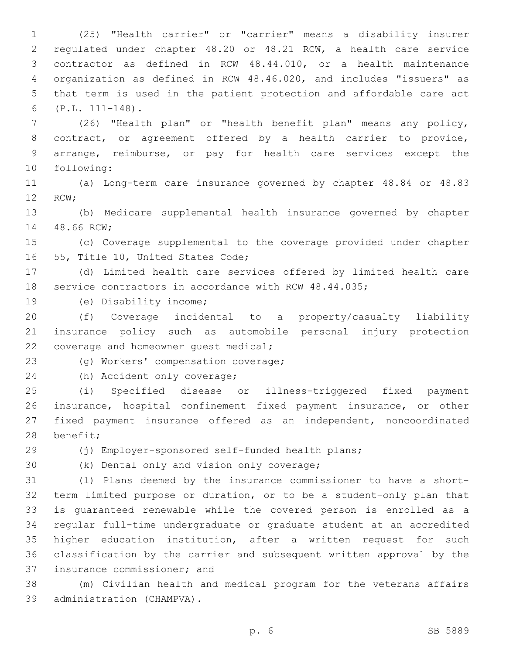(25) "Health carrier" or "carrier" means a disability insurer regulated under chapter 48.20 or 48.21 RCW, a health care service contractor as defined in RCW 48.44.010, or a health maintenance organization as defined in RCW 48.46.020, and includes "issuers" as that term is used in the patient protection and affordable care act (P.L. 111-148).6

 (26) "Health plan" or "health benefit plan" means any policy, contract, or agreement offered by a health carrier to provide, arrange, reimburse, or pay for health care services except the 10 following:

 (a) Long-term care insurance governed by chapter 48.84 or 48.83 12 RCW;

 (b) Medicare supplemental health insurance governed by chapter 14 48.66 RCW;

 (c) Coverage supplemental to the coverage provided under chapter 16 55, Title 10, United States Code;

 (d) Limited health care services offered by limited health care service contractors in accordance with RCW 48.44.035;

19 (e) Disability income;

 (f) Coverage incidental to a property/casualty liability insurance policy such as automobile personal injury protection 22 coverage and homeowner quest medical;

23 (g) Workers' compensation coverage;

24 (h) Accident only coverage;

 (i) Specified disease or illness-triggered fixed payment insurance, hospital confinement fixed payment insurance, or other fixed payment insurance offered as an independent, noncoordinated 28 benefit;

(j) Employer-sponsored self-funded health plans;

30 (k) Dental only and vision only coverage;

 (l) Plans deemed by the insurance commissioner to have a short- term limited purpose or duration, or to be a student-only plan that is guaranteed renewable while the covered person is enrolled as a regular full-time undergraduate or graduate student at an accredited higher education institution, after a written request for such classification by the carrier and subsequent written approval by the 37 insurance commissioner; and

 (m) Civilian health and medical program for the veterans affairs 39 administration (CHAMPVA).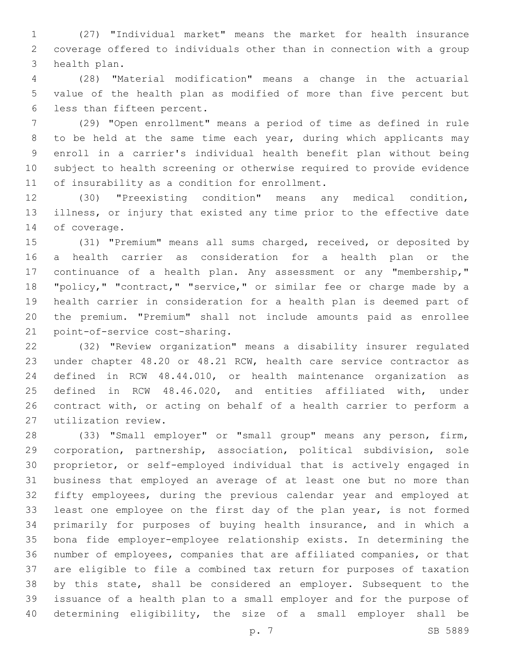(27) "Individual market" means the market for health insurance coverage offered to individuals other than in connection with a group 3 health plan.

 (28) "Material modification" means a change in the actuarial value of the health plan as modified of more than five percent but 6 less than fifteen percent.

 (29) "Open enrollment" means a period of time as defined in rule to be held at the same time each year, during which applicants may enroll in a carrier's individual health benefit plan without being subject to health screening or otherwise required to provide evidence 11 of insurability as a condition for enrollment.

 (30) "Preexisting condition" means any medical condition, illness, or injury that existed any time prior to the effective date 14 of coverage.

 (31) "Premium" means all sums charged, received, or deposited by a health carrier as consideration for a health plan or the continuance of a health plan. Any assessment or any "membership," "policy," "contract," "service," or similar fee or charge made by a health carrier in consideration for a health plan is deemed part of the premium. "Premium" shall not include amounts paid as enrollee 21 point-of-service cost-sharing.

 (32) "Review organization" means a disability insurer regulated under chapter 48.20 or 48.21 RCW, health care service contractor as defined in RCW 48.44.010, or health maintenance organization as defined in RCW 48.46.020, and entities affiliated with, under contract with, or acting on behalf of a health carrier to perform a utilization review.27

 (33) "Small employer" or "small group" means any person, firm, corporation, partnership, association, political subdivision, sole proprietor, or self-employed individual that is actively engaged in business that employed an average of at least one but no more than fifty employees, during the previous calendar year and employed at least one employee on the first day of the plan year, is not formed primarily for purposes of buying health insurance, and in which a bona fide employer-employee relationship exists. In determining the number of employees, companies that are affiliated companies, or that are eligible to file a combined tax return for purposes of taxation by this state, shall be considered an employer. Subsequent to the issuance of a health plan to a small employer and for the purpose of determining eligibility, the size of a small employer shall be

p. 7 SB 5889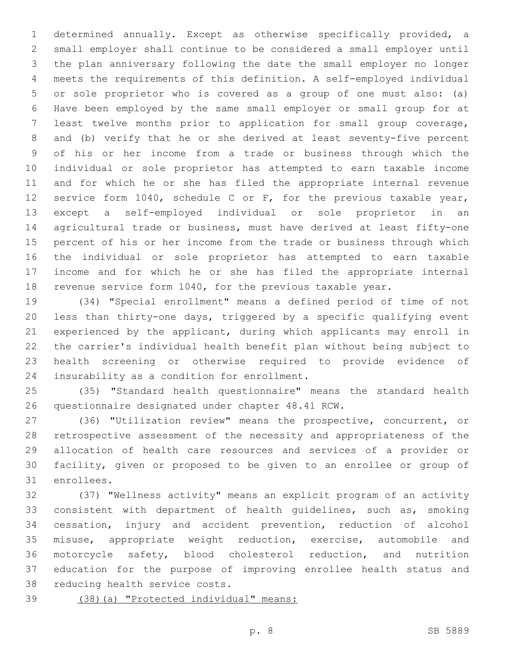determined annually. Except as otherwise specifically provided, a small employer shall continue to be considered a small employer until the plan anniversary following the date the small employer no longer meets the requirements of this definition. A self-employed individual or sole proprietor who is covered as a group of one must also: (a) Have been employed by the same small employer or small group for at least twelve months prior to application for small group coverage, and (b) verify that he or she derived at least seventy-five percent of his or her income from a trade or business through which the individual or sole proprietor has attempted to earn taxable income and for which he or she has filed the appropriate internal revenue service form 1040, schedule C or F, for the previous taxable year, except a self-employed individual or sole proprietor in an agricultural trade or business, must have derived at least fifty-one percent of his or her income from the trade or business through which the individual or sole proprietor has attempted to earn taxable income and for which he or she has filed the appropriate internal revenue service form 1040, for the previous taxable year.

 (34) "Special enrollment" means a defined period of time of not less than thirty-one days, triggered by a specific qualifying event experienced by the applicant, during which applicants may enroll in the carrier's individual health benefit plan without being subject to health screening or otherwise required to provide evidence of 24 insurability as a condition for enrollment.

 (35) "Standard health questionnaire" means the standard health 26 questionnaire designated under chapter 48.41 RCW.

 (36) "Utilization review" means the prospective, concurrent, or retrospective assessment of the necessity and appropriateness of the allocation of health care resources and services of a provider or facility, given or proposed to be given to an enrollee or group of 31 enrollees.

 (37) "Wellness activity" means an explicit program of an activity consistent with department of health guidelines, such as, smoking cessation, injury and accident prevention, reduction of alcohol misuse, appropriate weight reduction, exercise, automobile and motorcycle safety, blood cholesterol reduction, and nutrition education for the purpose of improving enrollee health status and 38 reducing health service costs.

(38)(a) "Protected individual" means: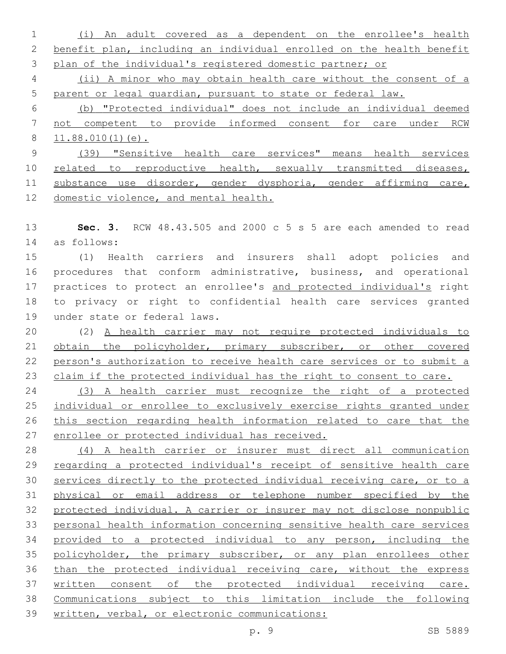(i) An adult covered as a dependent on the enrollee's health benefit plan, including an individual enrolled on the health benefit plan of the individual's registered domestic partner; or

 (ii) A minor who may obtain health care without the consent of a parent or legal guardian, pursuant to state or federal law.

 (b) "Protected individual" does not include an individual deemed not competent to provide informed consent for care under RCW 11.88.010(1)(e).

 (39) "Sensitive health care services" means health services 10 related to reproductive health, sexually transmitted diseases, substance use disorder, gender dysphoria, gender affirming care, domestic violence, and mental health.

 **Sec. 3.** RCW 48.43.505 and 2000 c 5 s 5 are each amended to read as follows:14

 (1) Health carriers and insurers shall adopt policies and procedures that conform administrative, business, and operational practices to protect an enrollee's and protected individual's right to privacy or right to confidential health care services granted 19 under state or federal laws.

 (2) A health carrier may not require protected individuals to obtain the policyholder, primary subscriber, or other covered person's authorization to receive health care services or to submit a 23 claim if the protected individual has the right to consent to care.

 (3) A health carrier must recognize the right of a protected individual or enrollee to exclusively exercise rights granted under this section regarding health information related to care that the enrollee or protected individual has received.

 (4) A health carrier or insurer must direct all communication 29 regarding a protected individual's receipt of sensitive health care services directly to the protected individual receiving care, or to a physical or email address or telephone number specified by the protected individual. A carrier or insurer may not disclose nonpublic personal health information concerning sensitive health care services provided to a protected individual to any person, including the 35 policyholder, the primary subscriber, or any plan enrollees other than the protected individual receiving care, without the express written consent of the protected individual receiving care. Communications subject to this limitation include the following written, verbal, or electronic communications: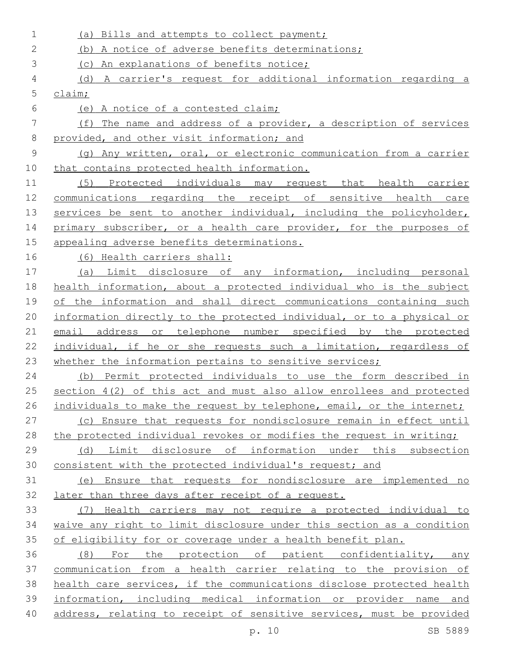(a) Bills and attempts to collect payment; (b) A notice of adverse benefits determinations; (c) An explanations of benefits notice; (d) A carrier's request for additional information regarding a claim; (e) A notice of a contested claim; (f) The name and address of a provider, a description of services provided, and other visit information; and (g) Any written, oral, or electronic communication from a carrier that contains protected health information. (5) Protected individuals may request that health carrier communications regarding the receipt of sensitive health care 13 services be sent to another individual, including the policyholder, 14 primary subscriber, or a health care provider, for the purposes of appealing adverse benefits determinations. (6) Health carriers shall: (a) Limit disclosure of any information, including personal health information, about a protected individual who is the subject of the information and shall direct communications containing such information directly to the protected individual, or to a physical or email address or telephone number specified by the protected individual, if he or she requests such a limitation, regardless of 23 whether the information pertains to sensitive services; (b) Permit protected individuals to use the form described in section 4(2) of this act and must also allow enrollees and protected 26 individuals to make the request by telephone, email, or the internet; (c) Ensure that requests for nondisclosure remain in effect until the protected individual revokes or modifies the request in writing; (d) Limit disclosure of information under this subsection consistent with the protected individual's request; and (e) Ensure that requests for nondisclosure are implemented no later than three days after receipt of a request. (7) Health carriers may not require a protected individual to waive any right to limit disclosure under this section as a condition 35 of eligibility for or coverage under a health benefit plan. (8) For the protection of patient confidentiality, any communication from a health carrier relating to the provision of health care services, if the communications disclose protected health information, including medical information or provider name and address, relating to receipt of sensitive services, must be provided p. 10 SB 5889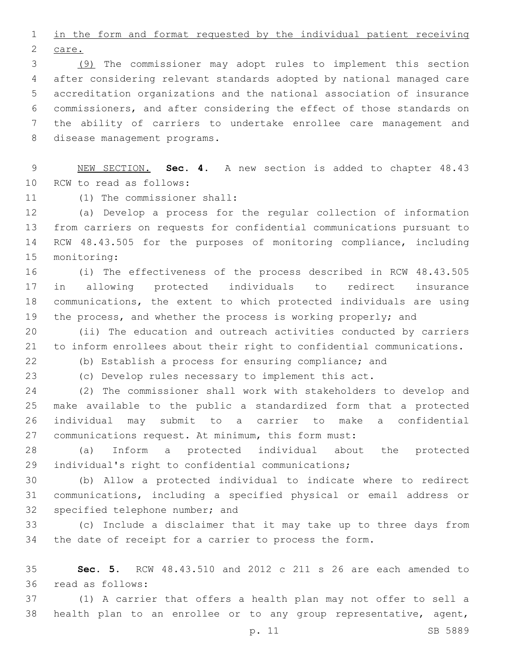in the form and format requested by the individual patient receiving 2 care.

 (9) The commissioner may adopt rules to implement this section after considering relevant standards adopted by national managed care accreditation organizations and the national association of insurance commissioners, and after considering the effect of those standards on the ability of carriers to undertake enrollee care management and 8 disease management programs.

 NEW SECTION. **Sec. 4.** A new section is added to chapter 48.43 10 RCW to read as follows:

11 (1) The commissioner shall:

 (a) Develop a process for the regular collection of information from carriers on requests for confidential communications pursuant to RCW 48.43.505 for the purposes of monitoring compliance, including 15 monitoring:

 (i) The effectiveness of the process described in RCW 48.43.505 in allowing protected individuals to redirect insurance communications, the extent to which protected individuals are using 19 the process, and whether the process is working properly; and

 (ii) The education and outreach activities conducted by carriers to inform enrollees about their right to confidential communications.

(b) Establish a process for ensuring compliance; and

(c) Develop rules necessary to implement this act.

 (2) The commissioner shall work with stakeholders to develop and make available to the public a standardized form that a protected individual may submit to a carrier to make a confidential communications request. At minimum, this form must:

 (a) Inform a protected individual about the protected individual's right to confidential communications;

 (b) Allow a protected individual to indicate where to redirect communications, including a specified physical or email address or 32 specified telephone number; and

 (c) Include a disclaimer that it may take up to three days from the date of receipt for a carrier to process the form.

 **Sec. 5.** RCW 48.43.510 and 2012 c 211 s 26 are each amended to read as follows:36

 (1) A carrier that offers a health plan may not offer to sell a health plan to an enrollee or to any group representative, agent,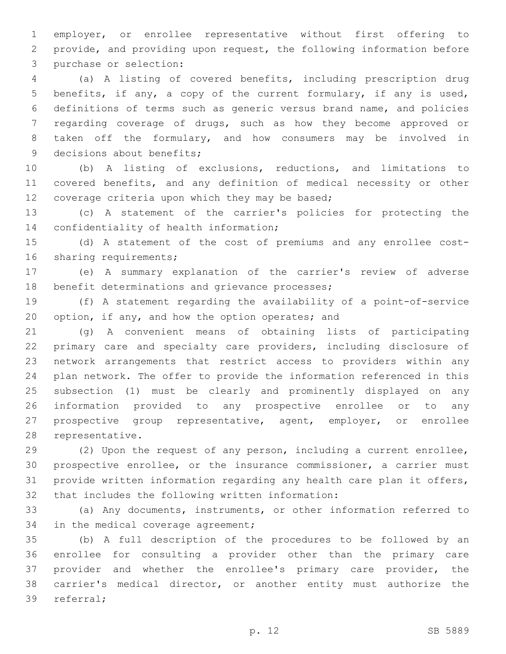employer, or enrollee representative without first offering to provide, and providing upon request, the following information before 3 purchase or selection:

 (a) A listing of covered benefits, including prescription drug benefits, if any, a copy of the current formulary, if any is used, definitions of terms such as generic versus brand name, and policies regarding coverage of drugs, such as how they become approved or taken off the formulary, and how consumers may be involved in 9 decisions about benefits;

 (b) A listing of exclusions, reductions, and limitations to covered benefits, and any definition of medical necessity or other 12 coverage criteria upon which they may be based;

 (c) A statement of the carrier's policies for protecting the 14 confidentiality of health information;

 (d) A statement of the cost of premiums and any enrollee cost-16 sharing requirements;

 (e) A summary explanation of the carrier's review of adverse 18 benefit determinations and grievance processes;

 (f) A statement regarding the availability of a point-of-service 20 option, if any, and how the option operates; and

 (g) A convenient means of obtaining lists of participating primary care and specialty care providers, including disclosure of network arrangements that restrict access to providers within any plan network. The offer to provide the information referenced in this subsection (1) must be clearly and prominently displayed on any information provided to any prospective enrollee or to any prospective group representative, agent, employer, or enrollee 28 representative.

 (2) Upon the request of any person, including a current enrollee, prospective enrollee, or the insurance commissioner, a carrier must provide written information regarding any health care plan it offers, 32 that includes the following written information:

 (a) Any documents, instruments, or other information referred to 34 in the medical coverage agreement;

 (b) A full description of the procedures to be followed by an enrollee for consulting a provider other than the primary care provider and whether the enrollee's primary care provider, the carrier's medical director, or another entity must authorize the 39 referral;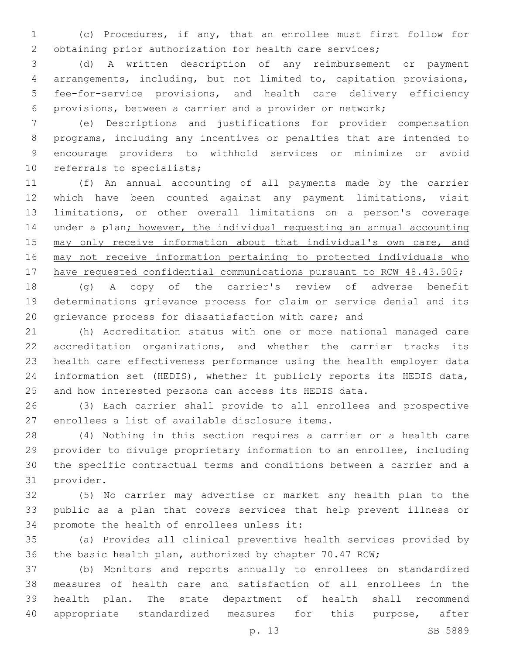(c) Procedures, if any, that an enrollee must first follow for obtaining prior authorization for health care services;

 (d) A written description of any reimbursement or payment arrangements, including, but not limited to, capitation provisions, fee-for-service provisions, and health care delivery efficiency provisions, between a carrier and a provider or network;

 (e) Descriptions and justifications for provider compensation programs, including any incentives or penalties that are intended to encourage providers to withhold services or minimize or avoid 10 referrals to specialists;

 (f) An annual accounting of all payments made by the carrier which have been counted against any payment limitations, visit limitations, or other overall limitations on a person's coverage under a plan; however, the individual requesting an annual accounting 15 may only receive information about that individual's own care, and may not receive information pertaining to protected individuals who 17 have requested confidential communications pursuant to RCW 48.43.505;

 (g) A copy of the carrier's review of adverse benefit determinations grievance process for claim or service denial and its grievance process for dissatisfaction with care; and

 (h) Accreditation status with one or more national managed care accreditation organizations, and whether the carrier tracks its health care effectiveness performance using the health employer data information set (HEDIS), whether it publicly reports its HEDIS data, and how interested persons can access its HEDIS data.

 (3) Each carrier shall provide to all enrollees and prospective 27 enrollees a list of available disclosure items.

 (4) Nothing in this section requires a carrier or a health care provider to divulge proprietary information to an enrollee, including the specific contractual terms and conditions between a carrier and a 31 provider.

 (5) No carrier may advertise or market any health plan to the public as a plan that covers services that help prevent illness or 34 promote the health of enrollees unless it:

 (a) Provides all clinical preventive health services provided by the basic health plan, authorized by chapter 70.47 RCW;

 (b) Monitors and reports annually to enrollees on standardized measures of health care and satisfaction of all enrollees in the health plan. The state department of health shall recommend appropriate standardized measures for this purpose, after

p. 13 SB 5889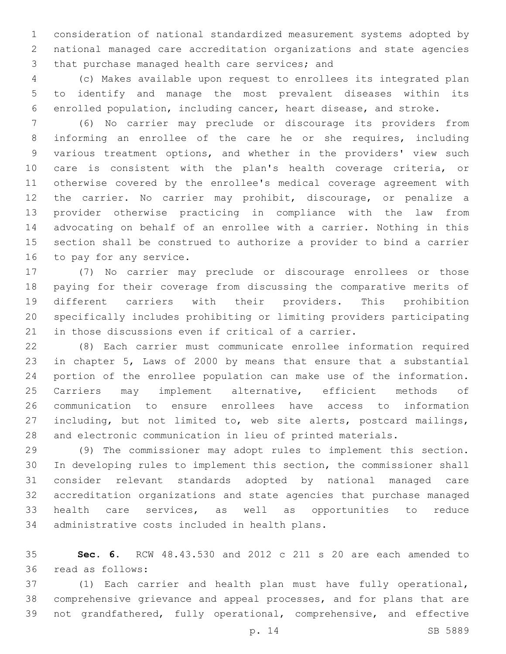consideration of national standardized measurement systems adopted by national managed care accreditation organizations and state agencies 3 that purchase managed health care services; and

 (c) Makes available upon request to enrollees its integrated plan to identify and manage the most prevalent diseases within its enrolled population, including cancer, heart disease, and stroke.

 (6) No carrier may preclude or discourage its providers from informing an enrollee of the care he or she requires, including various treatment options, and whether in the providers' view such care is consistent with the plan's health coverage criteria, or otherwise covered by the enrollee's medical coverage agreement with the carrier. No carrier may prohibit, discourage, or penalize a provider otherwise practicing in compliance with the law from advocating on behalf of an enrollee with a carrier. Nothing in this section shall be construed to authorize a provider to bind a carrier 16 to pay for any service.

 (7) No carrier may preclude or discourage enrollees or those paying for their coverage from discussing the comparative merits of different carriers with their providers. This prohibition specifically includes prohibiting or limiting providers participating in those discussions even if critical of a carrier.

 (8) Each carrier must communicate enrollee information required in chapter 5, Laws of 2000 by means that ensure that a substantial portion of the enrollee population can make use of the information. 25 Carriers may implement alternative, efficient methods of communication to ensure enrollees have access to information including, but not limited to, web site alerts, postcard mailings, and electronic communication in lieu of printed materials.

 (9) The commissioner may adopt rules to implement this section. In developing rules to implement this section, the commissioner shall consider relevant standards adopted by national managed care accreditation organizations and state agencies that purchase managed health care services, as well as opportunities to reduce 34 administrative costs included in health plans.

 **Sec. 6.** RCW 48.43.530 and 2012 c 211 s 20 are each amended to read as follows:36

 (1) Each carrier and health plan must have fully operational, comprehensive grievance and appeal processes, and for plans that are not grandfathered, fully operational, comprehensive, and effective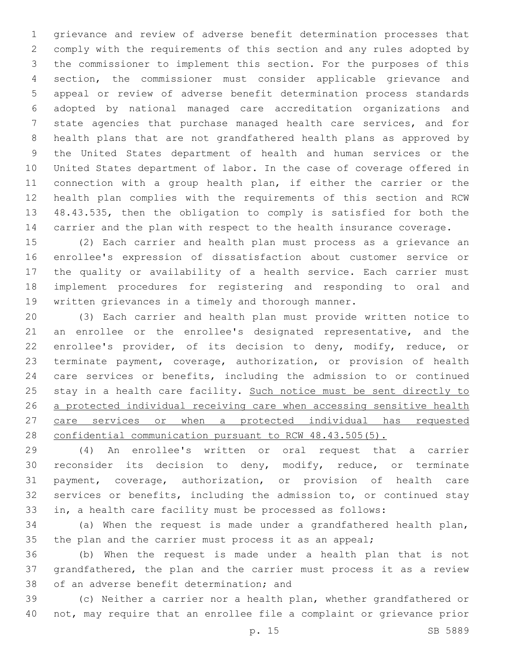grievance and review of adverse benefit determination processes that comply with the requirements of this section and any rules adopted by the commissioner to implement this section. For the purposes of this section, the commissioner must consider applicable grievance and appeal or review of adverse benefit determination process standards adopted by national managed care accreditation organizations and state agencies that purchase managed health care services, and for health plans that are not grandfathered health plans as approved by the United States department of health and human services or the United States department of labor. In the case of coverage offered in connection with a group health plan, if either the carrier or the health plan complies with the requirements of this section and RCW 48.43.535, then the obligation to comply is satisfied for both the carrier and the plan with respect to the health insurance coverage.

 (2) Each carrier and health plan must process as a grievance an enrollee's expression of dissatisfaction about customer service or the quality or availability of a health service. Each carrier must implement procedures for registering and responding to oral and written grievances in a timely and thorough manner.

 (3) Each carrier and health plan must provide written notice to an enrollee or the enrollee's designated representative, and the enrollee's provider, of its decision to deny, modify, reduce, or terminate payment, coverage, authorization, or provision of health care services or benefits, including the admission to or continued 25 stay in a health care facility. Such notice must be sent directly to a protected individual receiving care when accessing sensitive health 27 care services or when a protected individual has requested confidential communication pursuant to RCW 48.43.505(5).

 (4) An enrollee's written or oral request that a carrier reconsider its decision to deny, modify, reduce, or terminate payment, coverage, authorization, or provision of health care services or benefits, including the admission to, or continued stay in, a health care facility must be processed as follows:

 (a) When the request is made under a grandfathered health plan, 35 the plan and the carrier must process it as an appeal;

 (b) When the request is made under a health plan that is not grandfathered, the plan and the carrier must process it as a review 38 of an adverse benefit determination; and

 (c) Neither a carrier nor a health plan, whether grandfathered or not, may require that an enrollee file a complaint or grievance prior

p. 15 SB 5889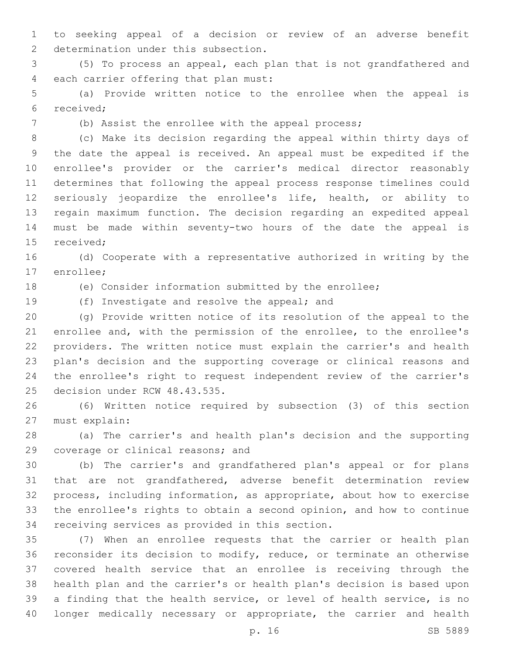to seeking appeal of a decision or review of an adverse benefit 2 determination under this subsection.

 (5) To process an appeal, each plan that is not grandfathered and 4 each carrier offering that plan must:

 (a) Provide written notice to the enrollee when the appeal is 6 received;

(b) Assist the enrollee with the appeal process;

 (c) Make its decision regarding the appeal within thirty days of the date the appeal is received. An appeal must be expedited if the enrollee's provider or the carrier's medical director reasonably determines that following the appeal process response timelines could seriously jeopardize the enrollee's life, health, or ability to regain maximum function. The decision regarding an expedited appeal must be made within seventy-two hours of the date the appeal is 15 received:

 (d) Cooperate with a representative authorized in writing by the 17 enrollee;

(e) Consider information submitted by the enrollee;

19 (f) Investigate and resolve the appeal; and

 (g) Provide written notice of its resolution of the appeal to the enrollee and, with the permission of the enrollee, to the enrollee's providers. The written notice must explain the carrier's and health plan's decision and the supporting coverage or clinical reasons and the enrollee's right to request independent review of the carrier's 25 decision under RCW 48.43.535.

 (6) Written notice required by subsection (3) of this section 27 must explain:

 (a) The carrier's and health plan's decision and the supporting 29 coverage or clinical reasons; and

 (b) The carrier's and grandfathered plan's appeal or for plans that are not grandfathered, adverse benefit determination review process, including information, as appropriate, about how to exercise the enrollee's rights to obtain a second opinion, and how to continue 34 receiving services as provided in this section.

 (7) When an enrollee requests that the carrier or health plan reconsider its decision to modify, reduce, or terminate an otherwise covered health service that an enrollee is receiving through the health plan and the carrier's or health plan's decision is based upon a finding that the health service, or level of health service, is no longer medically necessary or appropriate, the carrier and health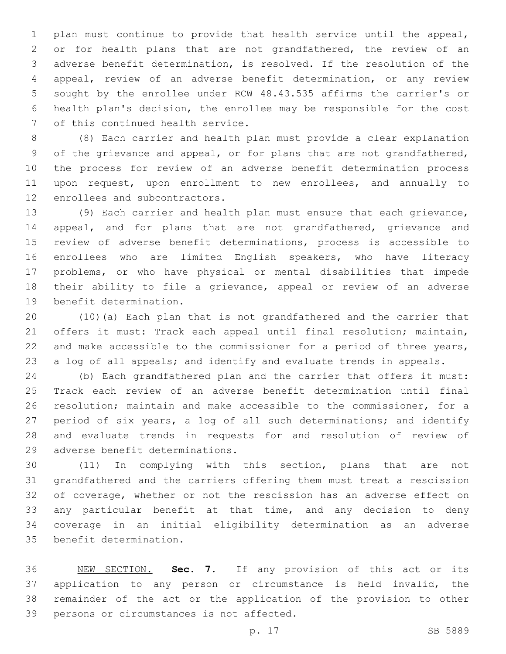plan must continue to provide that health service until the appeal, or for health plans that are not grandfathered, the review of an adverse benefit determination, is resolved. If the resolution of the appeal, review of an adverse benefit determination, or any review sought by the enrollee under RCW 48.43.535 affirms the carrier's or health plan's decision, the enrollee may be responsible for the cost 7 of this continued health service.

 (8) Each carrier and health plan must provide a clear explanation of the grievance and appeal, or for plans that are not grandfathered, the process for review of an adverse benefit determination process upon request, upon enrollment to new enrollees, and annually to 12 enrollees and subcontractors.

 (9) Each carrier and health plan must ensure that each grievance, appeal, and for plans that are not grandfathered, grievance and review of adverse benefit determinations, process is accessible to enrollees who are limited English speakers, who have literacy problems, or who have physical or mental disabilities that impede 18 their ability to file a grievance, appeal or review of an adverse 19 benefit determination.

 (10)(a) Each plan that is not grandfathered and the carrier that offers it must: Track each appeal until final resolution; maintain, 22 and make accessible to the commissioner for a period of three years, a log of all appeals; and identify and evaluate trends in appeals.

 (b) Each grandfathered plan and the carrier that offers it must: Track each review of an adverse benefit determination until final resolution; maintain and make accessible to the commissioner, for a period of six years, a log of all such determinations; and identify and evaluate trends in requests for and resolution of review of 29 adverse benefit determinations.

 (11) In complying with this section, plans that are not grandfathered and the carriers offering them must treat a rescission of coverage, whether or not the rescission has an adverse effect on any particular benefit at that time, and any decision to deny coverage in an initial eligibility determination as an adverse 35 benefit determination.

 NEW SECTION. **Sec. 7.** If any provision of this act or its application to any person or circumstance is held invalid, the remainder of the act or the application of the provision to other persons or circumstances is not affected.